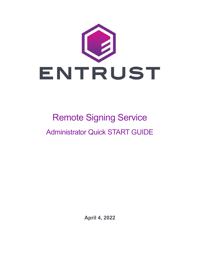

# Remote Signing Service Administrator Quick START GUIDE

**April 4, 2022**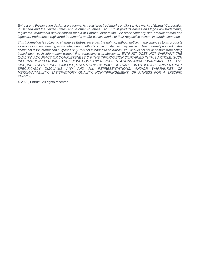*Entrust and the hexagon design are trademarks, registered trademarks and/or service marks of Entrust Corporation in Canada and the United States and in other countries. All Entrust product names and logos are trademarks, registered trademarks and/or service marks of Entrust Corporation. All other company and product names and logos are trademarks, registered trademarks and/or service marks of their respective owners in certain countries.* 

*This information is subject to change as Entrust reserves the right to, without notice, make changes to its products as progress in engineering or manufacturing methods or circumstances may warrant. The material provided in this document is for information purposes only. It is not intended to be advice. You should not act or abstain from acting based upon such information without first consulting a professional. ENTRUST DOES NOT WARRANT THE QUALITY, ACCURACY OR COMPLETENESS O F THE INFORMATION CONTAINED IN THIS ARTICLE. SUCH INFORMATION IS PROVIDED "AS IS" WITHOUT ANY REPRESENTATIONS AND/OR WARRANTIES OF ANY KIND, WHETHER EXPRESS, IMPLIED, STATUTORY, BY USAGE OF TRADE, OR OTHERWISE, AND ENTRUST*  SPECIFICALLY DISCLAIMS ANY AND ALL REPRESENTATIONS, AND/OR WARRANTIES OF *MERCHANTABILITY, SATISFACTORY QUALITY, NON-INFRINGEMENT, OR FITNESS FOR A SPECIFIC PURPOSE.*

© 2022, Entrust. All rights reserved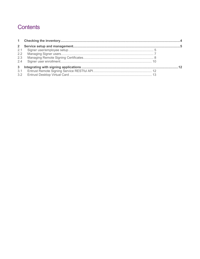# Contents

| $2^{\circ}$   |  |
|---------------|--|
| 2.1           |  |
| $2.2^{\circ}$ |  |
| 2.3           |  |
| 2.4           |  |
|               |  |
| 3.1           |  |
| 3.2           |  |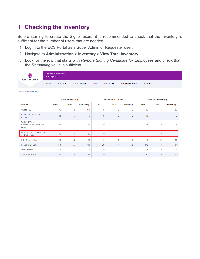# <span id="page-3-0"></span>**1 Checking the inventory**

Before starting to create the Signer users, it is recommended to check that the inventory is sufficient for the number of users that are needed.

- 1 Log in to the ECS Portal as a Super Admin or Requester user.
- 2 Navigate to **Administration** > **Inventory** > **View Total Inventory**.
- 3 Look for the row that starts with *Remote Signing Certificate for Employees* and check that the *Remaining* value is sufficient.

| J<br><b>ENTRUST</b> | Enterprise | <b>CERTIFICATE SERVICES</b>  |                                   |       |                              |                                     |                           |  |
|---------------------|------------|------------------------------|-----------------------------------|-------|------------------------------|-------------------------------------|---------------------------|--|
|                     | Home       | Create $\blacktriangleright$ | Certificates $\blacktriangledown$ | Sites | Reports $\blacktriangledown$ | Administration $\blacktriangledown$ | Help $\blacktriangledown$ |  |

#### **Buy More Inventory**

| <b>Account Inventory</b>                                           |                 |                |           |              | <b>Allocated to Groups</b> |           |              | <b>Unallocated Inventory</b> |           |  |  |
|--------------------------------------------------------------------|-----------------|----------------|-----------|--------------|----------------------------|-----------|--------------|------------------------------|-----------|--|--|
| Product                                                            | <b>Total</b>    | <b>Used</b>    | Remaining | <b>Total</b> | <b>Used</b>                | Remaining | <b>Total</b> | <b>Used</b>                  | Remaining |  |  |
| Private SSL                                                        | 95              | 15             | 80        | $\circ$      | O                          | $\circ$   | 95           | 15                           | 80        |  |  |
| Private SSL Enrollment<br>Service                                  | 13 <sup>°</sup> | $\overline{7}$ | 6         | $\circ$      | $\circ$                    | $\circ$   | 13           | $\overline{7}$               | 6         |  |  |
| <b>Qualified Web</b><br><b>Authentication Certificate</b><br>elDAS | 15              | o              | 15        | o            | O                          | $\circ$   | 15           | $\circ$                      | 15        |  |  |
| Remote Signing Certificate<br>for Employees                        | 100             | 5              | 95        | $\circ$      | $\circ$                    | $\circ$   | $\circ$      | $\circ$                      | O         |  |  |
| <b>SMIME Enterprise</b>                                            | 445             | 412            | 33        | 5            | 5                          | $\circ$   | 440          | 407                          | 33        |  |  |
| Standard OV SSL                                                    | 190             | 77             | 113       | 20           |                            | 19        | 170          | 76                           | 94        |  |  |
| <b>Verified Mark</b>                                               | 3               | o              | 3         | O            | $\circ$                    | O         | 3            | $\circ$                      | 3         |  |  |
| Wildcard OV SSL                                                    | 36              | 4              | 32        | $\circ$      | $\circ$                    | $\circ$   | 36           | 4                            | 32        |  |  |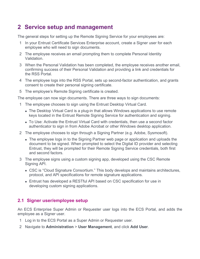# <span id="page-4-0"></span>**2 Service setup and management**

The general steps for setting up the Remote Signing Service for your employees are:

- 1 In your Entrust Certificate Services Enterprise account, create a Signer user for each employee who will need to sign documents.
- 2 The employee receives an email prompting them to complete Personal Identity Validation.
- 3 When the Personal Validation has been completed, the employee receives another email, confirming success of their Personal Validation and providing a link and credentials for the RSS Portal.
- 4 The employee logs into the RSS Portal, sets up second-factor authentication, and grants consent to create their personal signing certificate.
- 5 The employee's Remote Signing certificate is created.

The employee can now sign documents. There are three ways to sign documents:

- 1 The employee chooses to sign using the Entrust Desktop Virtual Card.
	- The Desktop Virtual Card is a plug-in that allows Windows applications to use remote keys located in the Entrust Remote Signing Service for authentication and signing.
	- To Use: Activate the Entrust Virtual Card with credentials, then use a second factor authenticator to sign in from Adobe Acrobat or other Windows desktop application.
- 2 The employee chooses to sign through a Signing Partner (e.g. Adobe, Sysmosoft).
	- The employee logs in to the Signing Partner web page or application and uploads the document to be signed. When prompted to select the Digital ID provider and selecting Entrust, they will be prompted for their Remote Signing Service credentials, both first and second factors.
- 3 The employee signs using a custom signing app, developed using the CSC Remote Signing API.
	- CSC is "Cloud Signature Consortium." This body develops and maintains architectures, protocol, and API specifications for remote signature applications.
	- Entrust has developed a RESTful API based on CSC specification for use in developing custom signing applications.

# <span id="page-4-1"></span>**2.1 Signer user/employee setup**

An ECS Enterprise Super Admin or Requester user logs into the ECS Portal, and adds the employee as a Signer user.

- 1 Log in to the ECS Portal as a Super Admin or Requester user.
- 2 Navigate to **Administration** > **User Management**, and click **Add User**.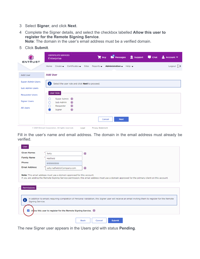- 3 Select **Signer**, and click **Next**.
- 4 Complete the Signer details, and select the checkbox labelled **Allow this user to register for the Remote Signing Service**.

**Note**: The domain in the user's email address must be a verified domain.

5 Click **Submit**.

| <b>ENTRUST</b>           | <b>CERTIFICATE SERVICES</b><br>Buy Messages a Support <b>The Chat</b><br>$\sim$ Account $\blacktriangledown$<br>Enterprise                                                     |
|--------------------------|--------------------------------------------------------------------------------------------------------------------------------------------------------------------------------|
|                          | Logout $\rightarrow$<br>Home Create $\bullet$ Certificates $\bullet$<br>Sites<br>Reports $\blacktriangledown$<br>Administration $\blacktriangledown$ Help $\blacktriangledown$ |
| <b>Add User</b>          | <b>Add User</b>                                                                                                                                                                |
| <b>Super Admin Users</b> | 8<br>Select the user role and click Next to proceed.                                                                                                                           |
| <b>Sub Admin Users</b>   |                                                                                                                                                                                |
| <b>Requester Users</b>   | User Role                                                                                                                                                                      |
| <b>Signer Users</b>      | Super Admin (i)<br>0<br>$\pm$<br>Sub Admin<br>O                                                                                                                                |
| <b>All Users</b>         | $\mathbf{i}$<br>Requester<br>0<br>$\mathbf{i}$<br>Signer                                                                                                                       |
|                          | <b>Next</b><br>Cancel                                                                                                                                                          |

Fill in the user's name and email address. The domain in the email address must already be verified.

| <b>User</b>                                                                                                                                                                                                                                                            |                            |                                        |  |  |  |
|------------------------------------------------------------------------------------------------------------------------------------------------------------------------------------------------------------------------------------------------------------------------|----------------------------|----------------------------------------|--|--|--|
| <b>Given Names</b>                                                                                                                                                                                                                                                     | Sally                      | $\mathbf{E}$                           |  |  |  |
| <b>Family Name</b>                                                                                                                                                                                                                                                     | Hatfield                   |                                        |  |  |  |
| Phone:                                                                                                                                                                                                                                                                 | 6135555555                 |                                        |  |  |  |
| <b>Email Address:</b>                                                                                                                                                                                                                                                  | sally.hatfield@Company.com | $\mathbf{i}$                           |  |  |  |
| Permissions                                                                                                                                                                                                                                                            |                            |                                        |  |  |  |
| In addition to emails requiring completion of Personal Validation, this Signer user will receive an email inviting them to register for the Remote<br>£<br>Signing Service.<br>$\blacktriangledown$<br>Allow this user to register for the Remote Signing Service. (i) |                            |                                        |  |  |  |
|                                                                                                                                                                                                                                                                        |                            | <b>Submit</b><br><b>Back</b><br>Cancel |  |  |  |

The new Signer user appears in the Users grid with status **Pending**.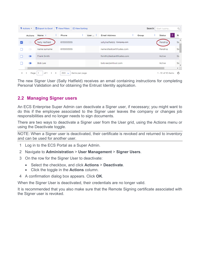|              | $\frac{1}{2}$ Actions $\overline{y}$ | Export to Excel   T View Filters   | $\downarrow$ $\frac{1}{2}$ View Sorting |                 |                             |   |       |   | Search: Start typing | Q.    |
|--------------|--------------------------------------|------------------------------------|-----------------------------------------|-----------------|-----------------------------|---|-------|---|----------------------|-------|
|              | Actions                              | Name $\downarrow$<br>÷             | Phone<br>÷                              | User $\ldots$ : | <b>Email Address</b>        | ÷ | Group | ÷ | ÷<br>Status          | $R_1$ |
|              |                                      | Sally Hatfield                     | 6135555555                              |                 | sally.hatfield@ Company.com |   |       |   | Pending              | Sic   |
|              | $\circ$                              | name surname                       | 6135555555                              |                 | name@testcertificates.com   |   |       |   | Pending              | Si    |
|              | œ                                    | <b>Frank Smith</b>                 |                                         |                 | fsmith@testcertificates.com |   |       |   | Active               | Si    |
|              | 40.                                  | <b>Bob Lee</b>                     |                                         |                 | bob.lee@entrust.com         |   |       |   | Active               | Siç   |
|              |                                      |                                    |                                         |                 |                             |   |       |   |                      | Þ.    |
| $\mathbf{H}$ | Page<br>м                            | of 1<br>$\blacktriangleright$<br>٠ | 250<br>items per page<br>$\checkmark$   |                 |                             |   |       |   | 1 - 10 of 10 items   | O     |

The new Signer User (Sally Hatfield) receives an email containing instructions for completing Personal Validation and for obtaining the Entrust Identity application.

# <span id="page-6-0"></span>**2.2 Managing Signer users**

An ECS Enterprise Super Admin can deactivate a Signer user, if necessary; you might want to do this if the employee associated to the Signer user leaves the company or changes job responsibilities and no longer needs to sign documents.

There are two ways to deactivate a Signer user from the User grid, using the Actions menu or using the Deactivate toggle.

NOTE: When a Signer user is deactivated, their certificate is revoked and returned to inventory and can be used for another user.

- 1 Log in to the ECS Portal as a Super Admin.
- 2 Navigate to **Administration** > **User Management** > **Signer Users**.
- 3 On the row for the Signer User to deactivate:
	- Select the checkbox, and click **Actions** > **Deactivate**.
	- Click the toggle in the **Actions** column.
- 4 A confirmation dialog box appears. Click **OK**.

When the Signer User is deactivated, their credentials are no longer valid.

It is recommended that you also make sure that the Remote Signing certificate associated with the Signer user is revoked.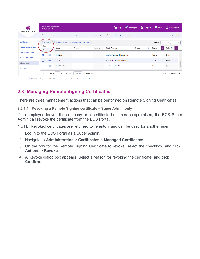| в<br><b>ENTRUST</b>              | <b>CERTIFICATE SERVICES</b><br>Enterprise |                                                                     |                                    |                                                  |                               | $\mathbf{F}$ Buy               | Messages                   | Support | <b>D</b> Chat | А<br>Account $\blacktriangledown$ |                           |
|----------------------------------|-------------------------------------------|---------------------------------------------------------------------|------------------------------------|--------------------------------------------------|-------------------------------|--------------------------------|----------------------------|---------|---------------|-----------------------------------|---------------------------|
|                                  | Home                                      | Create $\rightarrow$                                                | Certificates $\blacktriangleright$ | <b>Sites</b>                                     | Reports $\blacktriangleright$ | Administration $\rightarrow$   | Help $\blacktriangleright$ |         |               | Logout $\Box$                     |                           |
| <b>Add User</b>                  | <b>∲</b> Actions ▼                        | Export to Excel                                                     |                                    | <b>T</b> View Filters $\frac{1}{2}$ View Sorting |                               |                                |                            |         |               | Search: Start typing              | $\alpha$                  |
| <b>Super Admin Users</b>         | Open<br>Deactivate                        | ÷<br>Name                                                           | Phone                              | ŧ                                                | User  :                       | <b>Email Address</b>           | Group                      | ÷       | ÷<br>Status   | Role '                            | ÷                         |
| <b>Sub Admin Users</b>           | ☑<br>٠                                    | <b>Bob Lee</b>                                                      |                                    |                                                  |                               | bob.lee@testcertificates.com   |                            |         | Active        | Signer                            | $\blacktriangle$          |
| <b>Requester Users</b>           | $\bullet$                                 | Frank Smith                                                         |                                    |                                                  |                               | fsmith@testcertificates.com    |                            |         | Active        | Signer                            |                           |
| Signer Users<br><b>All Users</b> | œ                                         | TechFirst TechLast                                                  |                                    |                                                  |                               | techfirst.techlast@entrust.com |                            |         | Active        | Signer                            |                           |
|                                  | $\vert$<br>Page 1<br>м                    | of 1<br>$\left\vert \mathbf{r}\right\vert$<br>$\blacktriangleright$ | 250<br>$\checkmark$                | items per page                                   |                               |                                |                            |         |               | 1 - 10 of 10 items                | $\blacktriangledown$<br>O |

# <span id="page-7-0"></span>**2.3 Managing Remote Signing Certificates**

There are three management actions that can be performed on Remote Signing Certificates.

**2.3.1.1 Revoking a Remote Signing certificate – Super Admin only**

If an employee leaves the company or a certificate becomes compromised, the ECS Super Admin can revoke the certificate from the ECS Portal.

NOTE: Revoked certificates are returned to inventory and can be used for another user.

- 1 Log in to the ECS Portal as a Super Admin.
- 2 Navigate to **Administration** > **Certificates** > **Managed Certificates**.
- 3 On the row for the Remote Signing Certificate to revoke, select the checkbox, and click **Actions** > **Revoke**.
- 4 A Revoke dialog box appears. Select a reason for revoking the certificate, and click **Confirm**.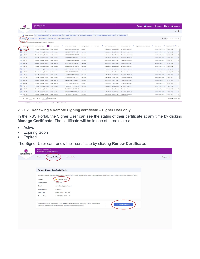|                        |                           | Create $\blacktriangledown$<br>Home                                        | Certificates v<br>Sites | Reports $\bullet$                         | Administration -                                                              | Help $\blacktriangledown$ |                          |                          |                          |                  |                               | Logout $\Rightarrow$ |
|------------------------|---------------------------|----------------------------------------------------------------------------|-------------------------|-------------------------------------------|-------------------------------------------------------------------------------|---------------------------|--------------------------|--------------------------|--------------------------|------------------|-------------------------------|----------------------|
|                        | <b>O</b> ECS Certificates | C Foreign Certificates                                                     |                         | C Pending Approvals C Pending User Pickup | C Active Remote Signing X C Pending Requester Confirmation C PKI Certificates |                           |                          |                          |                          |                  |                               |                      |
| Actions <sup>(1)</sup> |                           | Export to Excel   T View Filters     View Sorting   Export Certificates(1) |                         |                                           |                                                                               |                           |                          |                          |                          |                  | Search: Provide at least 3  Q |                      |
| Revoke                 |                           | pract a column header and drop it here to group by that column             |                         |                                           |                                                                               |                           |                          |                          |                          |                  |                               |                      |
|                        | Tracking $ID +$           | Certificate Type                                                           | Common Name             | Serial Number (Hex)                       | Pickup Status                                                                 | <b>SAN List</b>           | Cert Friendly Name       | Organization (O)         | Organizational Unit (OU) | Subject DN       | Issue Date + :                |                      |
|                        | 494269                    | Remote Signing Certific                                                    | Enric Granda            | 14837E55CEC34F84E72A                      | Active                                                                        |                           | entrust.com (Enric Grand | <b>DMortimer Company</b> |                          | email=enric.gran | Feb 18, 2021                  |                      |
|                        | 494161                    | Remote Signing Certific                                                    | Enric Granda            | 3D207E3CIF567A19AA23                      | Renewed                                                                       |                           | entrust.com (Enric Grand | <b>DMortimer Company</b> |                          | email=enric.gran | Feb 16, 2021                  |                      |
|                        | 494160                    | Remote Signing Certific                                                    | Enric Granda            | 3B8FD157D328EDFF038E.                     | Renewed                                                                       |                           | entrust.com (Enric Grand | <b>DMortimer Company</b> |                          | email=enric.gran | Feb 16, 2021                  |                      |
|                        | 494159                    | Remote Signing Certific                                                    | Enric Granda            | 57D9532E524AADE7273                       | Renewed                                                                       |                           | entrust.com (Enric Grand | <b>DMortimer Company</b> |                          | email=enric.gran | Feb 16, 2021                  |                      |
|                        | 494158                    | Remote Signing Certific                                                    | Enric Granda            | 22AEOBB5C88DD2F14A0                       | Renewed                                                                       |                           | entrust.com (Enric Grand | <b>DMortimer Company</b> |                          | email=enric.gran | Feb 16, 2021                  |                      |
|                        | 494157                    | Remote Signing Certific                                                    | Enric Granda            | 605DBA45C8DC8EE7BC                        | Renewed                                                                       |                           | entrust.com (Enric Grand | <b>DMortimer Company</b> |                          | email=enric.gran | Feb 16, 2021                  |                      |
|                        | 494156                    | Remote Signing Certific                                                    | Enric Granda            | 2A1FE4C09036C7A35981                      | Renewed                                                                       |                           | entrust.com (Enric Grand | <b>DMortimer Company</b> |                          | email=enric.gran | Feb 16, 2021                  |                      |
|                        | 494155                    | Remote Signing Certific                                                    | Enric Granda            | 2AD76CAB52ED9AF8A53                       | Renewed                                                                       |                           | entrust.com (Enric Grand | <b>DMortimer Company</b> |                          | email=enric.gran | Feb 16, 2021                  |                      |
|                        | 494154                    | Remote Signing Certific                                                    | Enric Granda            | 6FA664CE6859EB7DC65                       | Renewed                                                                       |                           | entrust.com (Enric Grand | <b>DMortimer Company</b> |                          | email=enric.gran | Feb 16, 2021                  |                      |
|                        | 494153                    | Remote Signing Certific                                                    | Enric Granda            | 5A4F811823O412C3979F8                     | Renewed                                                                       |                           | entrust.com (Enric Grand | <b>DMortimer Company</b> |                          | email=enric.gran | Feb 16, 2021                  |                      |
|                        | 494143                    | Remote Signing Certific                                                    | Enric Granda            | 216CBA7C63FEFD1C7785                      | Renewed                                                                       |                           | entrust.com (Enric Grand | <b>DMortimer Company</b> |                          | email=enric.gran | Feb 15, 2021                  |                      |
|                        | 494139                    | Remote Signing Certific                                                    | Enric Granda            | SDFB3B66BC5F7E9F42E                       | Renewed                                                                       |                           | entrust.com (Enric Grand | <b>DMortimer Company</b> |                          | email=enric.gran | Feb 15, 2021                  |                      |
|                        | 494132                    | Remote Signing Certific                                                    | Enric Granda            | 155F02C59A127A76809D                      | Renewed                                                                       |                           | entrust.com (Enric Grand | <b>DMortimer Company</b> |                          | email=enric.gran | Feb 15, 2021                  |                      |
|                        | 494131                    | Remote Signing Certific                                                    | Enric Granda            | 4C86776C9F68F6D58F5                       | Renewed                                                                       |                           | entrust.com (Enric Grand | <b>DMortimer Company</b> |                          | email=enric.gran | Feb 15, 2021                  |                      |
|                        | 494112                    | Remote Signing Certific                                                    | Enric Granda            | 124D0B7AC42365B5C507                      | Renewed                                                                       |                           | entrust.com (Enric Grand | <b>DMortimer Company</b> |                          | email=enric.gran | Feb 12, 2021                  |                      |
|                        | 494111                    | Remote Signing Certific                                                    | Enric Granda            | 6F28392310E79CB21334F                     | Renewed                                                                       |                           | entrust.com (Enric Grand | <b>DMortimer Company</b> |                          | email=enric.gran | Feb 12, 2021                  |                      |
|                        | 494110                    | Remote Signing Certific                                                    | Enric Granda            | 7A9CFB957255BD264C8                       | Renewed                                                                       |                           | entrust.com (Enric Grand | DMortimer Company        |                          | email=enric.gran | Feb 12, 2021                  |                      |

#### **2.3.1.2 Renewing a Remote Signing certificate – Signer User only**

In the RSS Portal, the Signer User can see the status of their certificate at any time by clicking **Manage Certificate**. The certificate will be in one of three states:

- Active
- Expiring Soon
- Expired

The Signer User can renew their certificate by clicking **Renew Certificate**.

| <b>ENTRUST</b> | <b>CERTIFICATE SERVICES</b><br><b>Remote Signing Service</b>                                                                                                                                          |                      |
|----------------|-------------------------------------------------------------------------------------------------------------------------------------------------------------------------------------------------------|----------------------|
|                | View Activity<br>Home<br>Manage Certificate                                                                                                                                                           | Logout $\Rightarrow$ |
|                |                                                                                                                                                                                                       |                      |
|                | <b>Remote Signing Certificate Details</b>                                                                                                                                                             |                      |
|                | These are the details that make up your Signing Certificate, If any of these details change, please contact the Certificate Administrator in your company.                                            |                      |
|                | <b>A</b> Expiring soon<br>Status:                                                                                                                                                                     |                      |
|                | Owner Name:<br>John Doe<br>Email:<br>John.Doe@gigabyte.com                                                                                                                                            |                      |
|                | Organization:<br>Gigabyte                                                                                                                                                                             |                      |
|                | <b>Issue Date:</b><br>Oct 13 2020, 03:30 PM                                                                                                                                                           |                      |
|                | Oct 14 2021, 12:00 AM<br><b>Expiry Date:</b>                                                                                                                                                          |                      |
|                | Your certificate will expire soon. Click Renew Certificate before the expiry date to create a new<br>C Renew Certificate<br>certificate, and avoid an interruption in your ability to sign documents. |                      |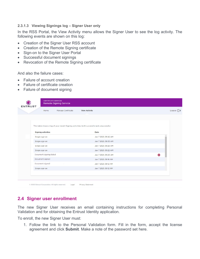#### **2.3.1.3 Viewing Signings log – Signer User only**

In the RSS Portal, the View Activity menu allows the Signer User to see the log activity. The following events are shown on this log:

- Creation of the Signer User RSS account
- Creation of the Remote Signing certificate
- Sign-on to the Signer User Portal
- Successful document signings
- Revocation of the Remote Signing certificate

And also the failure cases:

- Failure of account creation
- Failure of certificate creation
- Failure of document signing

| Manage Certificate<br>Home                                                                  | <b>View Activity</b> |           |
|---------------------------------------------------------------------------------------------|----------------------|-----------|
| This table shows a log of your recent Signing activities, both successful and unsuccessful. |                      |           |
| <b>Signing activities</b>                                                                   | Date                 |           |
| Single sign-on                                                                              | Jan 7 2021, 09:42 AM |           |
| Single sign-on                                                                              | Jan 7 2021, 09:33 AM |           |
| Single sign-on                                                                              | Jan 7 2021, 09:28 AM |           |
| Single sign-on                                                                              | Jan 7 2021, 09:22 AM |           |
| Document signing failed                                                                     | Jan 7 2021, 09:20 AM | $\bullet$ |
| Document signed                                                                             | Jan 7 2021, 09:16 AM |           |
| Document signed                                                                             | Jan 7 2021, 09:12 AM |           |
| Single sign-on                                                                              | Jan 7 2021, 09:12 AM |           |
|                                                                                             |                      |           |

### <span id="page-9-0"></span>**2.4 Signer user enrollment**

The new Signer User receives an email containing instructions for completing Personal Validation and for obtaining the Entrust Identity application.

To enroll, the new Signer User must:

1. Follow the link to the Personal Validation form. Fill in the form, accept the license agreement and click **Submit**. Make a note of the password set here.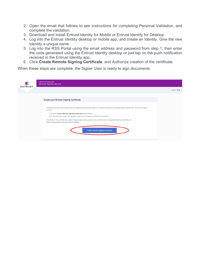- 2. Open the email that follows to see instructions for completing Personal Validation, and complete the validation.
- 3. Download and install Entrust Identity for Mobile or Entrust Identity for Desktop.
- 4. Log into the Entrust Identity desktop or mobile app, and create an Identity. Give the new Identity a unique name.
- 5. Log into the RSS Portal using the email address and password from step 1, then enter the code generated using the Entrust Identity desktop or just tap on the push notification received in the Entrust Identity app.
- 6. Click **Create Remote Signing Certificate**, and Authorize creation of the certificate.

When these steps are complete, the Signer User is ready to sign documents.

|                                                                                                                                                                       | Logout $\Rightarrow$ |
|-----------------------------------------------------------------------------------------------------------------------------------------------------------------------|----------------------|
| Create your Remote Signing Certificate                                                                                                                                |                      |
| To prepare to sign documents using the supported signing providers, you need to create your Remote Signing Certificate. This is a two-step                            |                      |
| process:                                                                                                                                                              |                      |
| 1. Click the Create Remote Signing Certificate button below.<br>2. On the Consent screen that appears, grant your consent to create the certificate.                  |                      |
| And that's it! You will then be ready to begin signing documents. You can find a list of supported signing providers at<br>https://www.entrust.com/go/remote-signing. |                      |
|                                                                                                                                                                       |                      |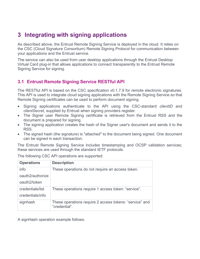# <span id="page-11-0"></span>**3 Integrating with signing applications**

As described above, the Entrust Remote Signing Service is deployed in the cloud. It relies on the CSC (Cloud Signature Consortium) Remote Signing Protocol for communication between your applications and the Entrust service.

The service can also be used from user desktop applications through the Entrust Desktop Virtual Card plug-in that allows applications to connect transparently to the Entrust Remote Signing Service for signing.

# <span id="page-11-1"></span>**3.1 Entrust Remote Signing Service RESTful API**

The RESTful API is based on the CSC specification v0.1.7.9 for remote electronic signatures. This API is used to integrate cloud signing applications with the Remote Signing Service so that Remote Signing certificates can be used to perform document signing.

- Signing applications authenticate to the API using the CSC-standard *clientID* and *clientSecret*, supplied by Entrust when signing providers register.
- The Signer user Remote Signing certificate is retrieved from the Entrust RSS and the document is prepared for signing.
- The signing application creates the hash of the Signer user's document and sends it to the RSS.
- The signed hash (the signature) is "attached" to the document being signed. One document can be signed in each transaction.

The Entrust Remote Signing Service includes timestamping and OCSP validation services; these services are used through the standard IETF protocols.

| <b>Operations</b> | <b>Description</b>                                                       |
|-------------------|--------------------------------------------------------------------------|
| info              | These operations do not require an access token.                         |
| oauth2/authorize  |                                                                          |
| oauth2/token      |                                                                          |
| credentials/list  | These operations require 1 access token: "service".                      |
| credentials/info  |                                                                          |
| signhash          | These operations require 2 access tokens: "service" and<br>"credential". |

The following CSC API operations are supported:

A signHash operation example follows.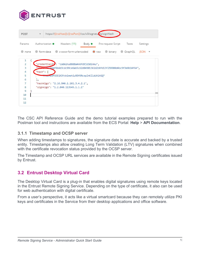

| <b>POST</b>    | https://{{rssHost}}:{{rssPort}}/csc/v0/signatutes/signHash<br>$\mathbf{v}$ |
|----------------|----------------------------------------------------------------------------|
| Params         | Authorization ● Headers (11) Body ● Pre-request Script Tests<br>Settings   |
| none           | ● form-data ● x-www-form-urlencoded ● raw ● binary ● GraphQL SON ▼         |
| $\mathbf{1}$   |                                                                            |
| $\overline{2}$ | "credentialID": "ca8m2nu0808a4n6fd9jd3d1nku",                              |
| 3              | "CApat8b4d3cdc99ce6ab5c62d04901361d2b8fd13f259900d4bc9f3e8b14f64",         |
| 4              | "hash": [                                                                  |
| 5              | TTKLnG9F5EE1X3YxkimehiuRDV9RcepZnKZ1dUA1HiO"                               |
| 6              | ь.                                                                         |
| 7              | "hashAlgo": "2.16.840.1.101.3.4.2.1",                                      |
| 8              | "signAlgo": "1.2.840.113549.1.1.1"                                         |
| 9              |                                                                            |
| 10             |                                                                            |
| 11             |                                                                            |
| 12             |                                                                            |

The CSC API Reference Guide and the demo tutorial examples prepared to run with the Postman tool and instructions are available from the ECS Portal: **Help** > **API Documentation**.

### **3.1.1 Timestamp and OCSP server**

When adding timestamps to signatures, the signature date is accurate and backed by a trusted entity. Timestamps also allow creating Long Term Validation (LTV) signatures when combined with the certificate revocation status provided by the OCSP server.

The Timestamp and OCSP URL services are available in the Remote Signing certificates issued by Entrust.

### <span id="page-12-0"></span>**3.2 Entrust Desktop Virtual Card**

The Desktop Virtual Card is a plug-in that enables digital signatures using remote keys located in the Entrust Remote Signing Service. Depending on the type of certificate, it also can be used for web authentication with digital certificate.

From a user's perspective, it acts like a virtual smartcard because they can remotely utilize PKI keys and certificates in the Service from their desktop applications and office software.